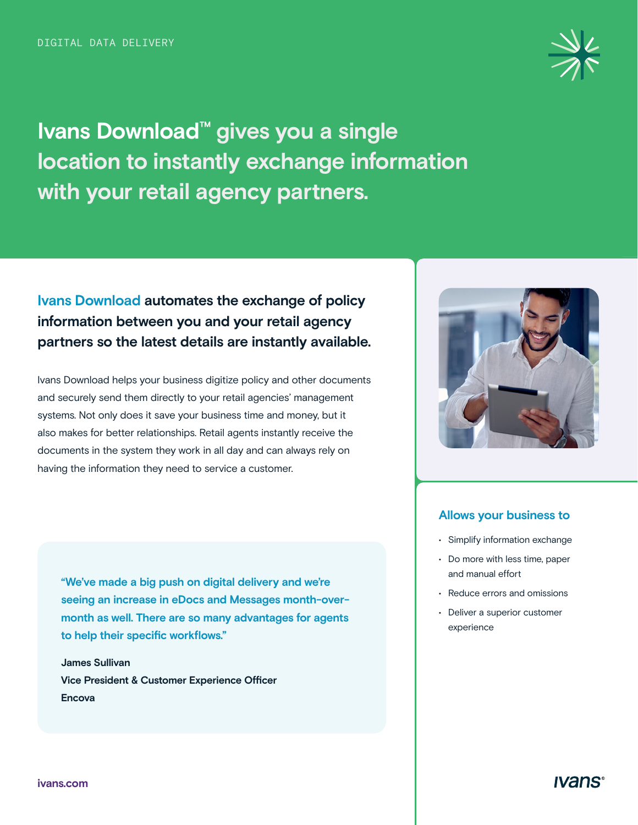

**Ivans Download™ gives you a single location to instantly exchange information with your retail agency partners.** 

## **Ivans Download automates the exchange of policy information between you and your retail agency partners so the latest details are instantly available.**

Ivans Download helps your business digitize policy and other documents and securely send them directly to your retail agencies' management systems. Not only does it save your business time and money, but it also makes for better relationships. Retail agents instantly receive the documents in the system they work in all day and can always rely on having the information they need to service a customer.

**"We've made a big push on digital delivery and we're seeing an increase in eDocs and Messages month-overmonth as well. There are so many advantages for agents to help their specific workflows."**

**James Sullivan Vice President & Customer Experience Officer Encova** 



#### **Allows your business to**

- Simplify information exchange
- Do more with less time, paper and manual effort
- Reduce errors and omissions
- Deliver a superior customer experience